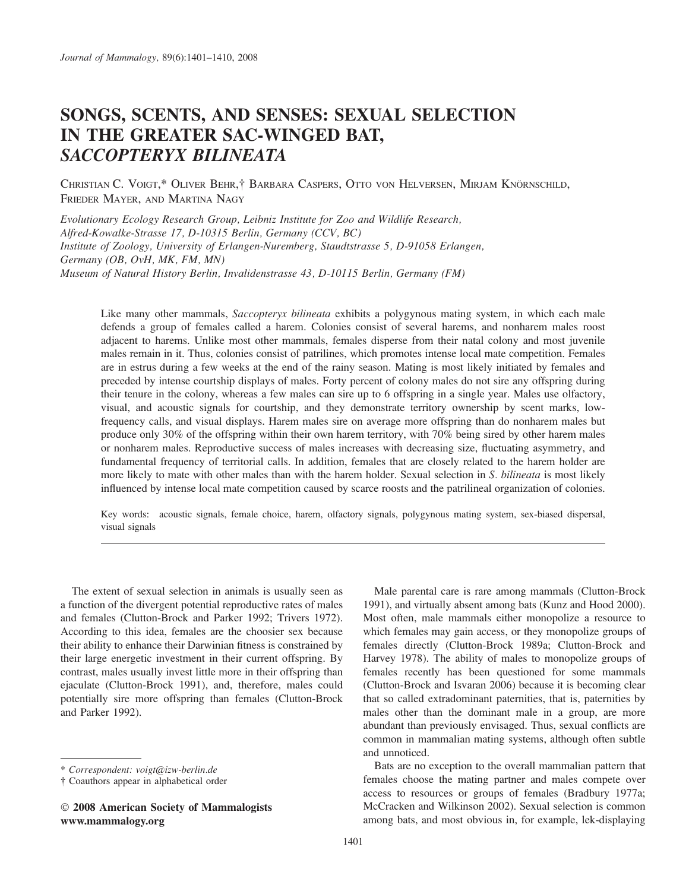# SONGS, SCENTS, AND SENSES: SEXUAL SELECTION IN THE GREATER SAC-WINGED BAT, SACCOPTERYX BILINEATA

Christian C. Voigt,\* Oliver Behr,† Barbara Caspers, Otto von Helversen, Mirjam Knörnschild, FRIEDER MAYER, AND MARTINA NAGY

Evolutionary Ecology Research Group, Leibniz Institute for Zoo and Wildlife Research, Alfred-Kowalke-Strasse 17, D-10315 Berlin, Germany (CCV, BC) Institute of Zoology, University of Erlangen-Nuremberg, Staudtstrasse 5, D-91058 Erlangen, Germany (OB, OvH, MK, FM, MN) Museum of Natural History Berlin, Invalidenstrasse 43, D-10115 Berlin, Germany (FM)

Like many other mammals, Saccopteryx bilineata exhibits a polygynous mating system, in which each male defends a group of females called a harem. Colonies consist of several harems, and nonharem males roost adjacent to harems. Unlike most other mammals, females disperse from their natal colony and most juvenile males remain in it. Thus, colonies consist of patrilines, which promotes intense local mate competition. Females are in estrus during a few weeks at the end of the rainy season. Mating is most likely initiated by females and preceded by intense courtship displays of males. Forty percent of colony males do not sire any offspring during their tenure in the colony, whereas a few males can sire up to 6 offspring in a single year. Males use olfactory, visual, and acoustic signals for courtship, and they demonstrate territory ownership by scent marks, lowfrequency calls, and visual displays. Harem males sire on average more offspring than do nonharem males but produce only 30% of the offspring within their own harem territory, with 70% being sired by other harem males or nonharem males. Reproductive success of males increases with decreasing size, fluctuating asymmetry, and fundamental frequency of territorial calls. In addition, females that are closely related to the harem holder are more likely to mate with other males than with the harem holder. Sexual selection in S. bilineata is most likely influenced by intense local mate competition caused by scarce roosts and the patrilineal organization of colonies.

Key words: acoustic signals, female choice, harem, olfactory signals, polygynous mating system, sex-biased dispersal, visual signals

The extent of sexual selection in animals is usually seen as a function of the divergent potential reproductive rates of males and females (Clutton-Brock and Parker 1992; Trivers 1972). According to this idea, females are the choosier sex because their ability to enhance their Darwinian fitness is constrained by their large energetic investment in their current offspring. By contrast, males usually invest little more in their offspring than ejaculate (Clutton-Brock 1991), and, therefore, males could potentially sire more offspring than females (Clutton-Brock and Parker 1992).

Male parental care is rare among mammals (Clutton-Brock 1991), and virtually absent among bats (Kunz and Hood 2000). Most often, male mammals either monopolize a resource to which females may gain access, or they monopolize groups of females directly (Clutton-Brock 1989a; Clutton-Brock and Harvey 1978). The ability of males to monopolize groups of females recently has been questioned for some mammals (Clutton-Brock and Isvaran 2006) because it is becoming clear that so called extradominant paternities, that is, paternities by males other than the dominant male in a group, are more abundant than previously envisaged. Thus, sexual conflicts are common in mammalian mating systems, although often subtle and unnoticed.

Bats are no exception to the overall mammalian pattern that females choose the mating partner and males compete over access to resources or groups of females (Bradbury 1977a; McCracken and Wilkinson 2002). Sexual selection is common among bats, and most obvious in, for example, lek-displaying

<sup>\*</sup> Correspondent: voigt@izw-berlin.de

<sup>-</sup> Coauthors appear in alphabetical order

<sup>-</sup> 2008 American Society of Mammalogists www.mammalogy.org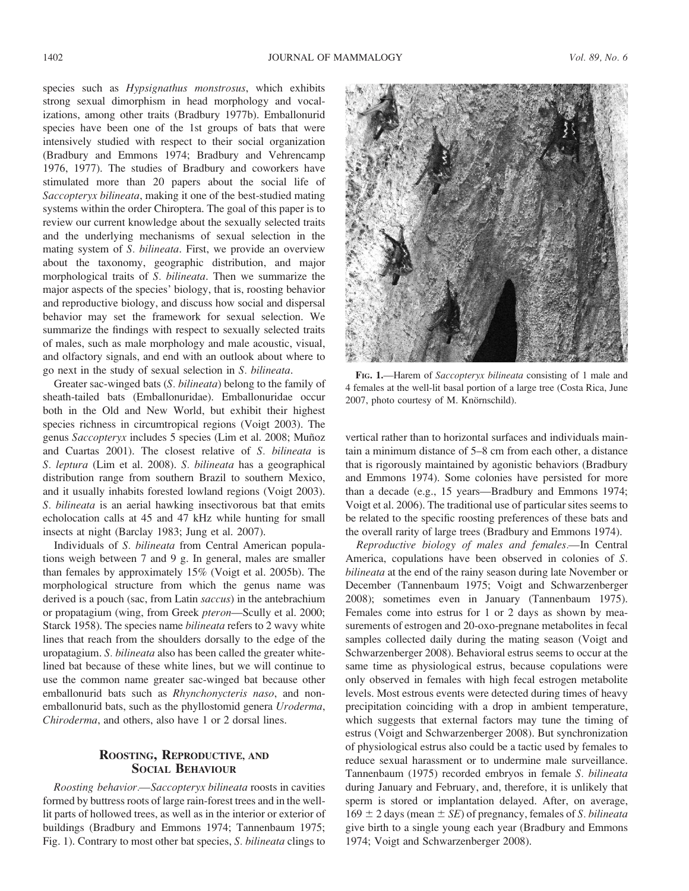species such as Hypsignathus monstrosus, which exhibits strong sexual dimorphism in head morphology and vocalizations, among other traits (Bradbury 1977b). Emballonurid species have been one of the 1st groups of bats that were intensively studied with respect to their social organization (Bradbury and Emmons 1974; Bradbury and Vehrencamp 1976, 1977). The studies of Bradbury and coworkers have stimulated more than 20 papers about the social life of Saccopteryx bilineata, making it one of the best-studied mating systems within the order Chiroptera. The goal of this paper is to review our current knowledge about the sexually selected traits and the underlying mechanisms of sexual selection in the mating system of S. bilineata. First, we provide an overview about the taxonomy, geographic distribution, and major morphological traits of S. bilineata. Then we summarize the major aspects of the species' biology, that is, roosting behavior and reproductive biology, and discuss how social and dispersal behavior may set the framework for sexual selection. We summarize the findings with respect to sexually selected traits of males, such as male morphology and male acoustic, visual, and olfactory signals, and end with an outlook about where to go next in the study of sexual selection in S. bilineata.

Greater sac-winged bats (S. bilineata) belong to the family of sheath-tailed bats (Emballonuridae). Emballonuridae occur both in the Old and New World, but exhibit their highest species richness in circumtropical regions (Voigt 2003). The genus Saccopteryx includes 5 species (Lim et al. 2008; Muñoz and Cuartas 2001). The closest relative of S. bilineata is S. leptura (Lim et al. 2008). S. bilineata has a geographical distribution range from southern Brazil to southern Mexico, and it usually inhabits forested lowland regions (Voigt 2003). S. bilineata is an aerial hawking insectivorous bat that emits echolocation calls at 45 and 47 kHz while hunting for small insects at night (Barclay 1983; Jung et al. 2007).

Individuals of S. bilineata from Central American populations weigh between 7 and 9 g. In general, males are smaller than females by approximately 15% (Voigt et al. 2005b). The morphological structure from which the genus name was derived is a pouch (sac, from Latin saccus) in the antebrachium or propatagium (wing, from Greek pteron—Scully et al. 2000; Starck 1958). The species name bilineata refers to 2 wavy white lines that reach from the shoulders dorsally to the edge of the uropatagium. S. bilineata also has been called the greater whitelined bat because of these white lines, but we will continue to use the common name greater sac-winged bat because other emballonurid bats such as Rhynchonycteris naso, and nonemballonurid bats, such as the phyllostomid genera Uroderma, Chiroderma, and others, also have 1 or 2 dorsal lines.

# ROOSTING, REPRODUCTIVE, AND SOCIAL BEHAVIOUR

Roosting behavior.—Saccopteryx bilineata roosts in cavities formed by buttress roots of large rain-forest trees and in the welllit parts of hollowed trees, as well as in the interior or exterior of buildings (Bradbury and Emmons 1974; Tannenbaum 1975; Fig. 1). Contrary to most other bat species, S. bilineata clings to



FIG. 1.—Harem of Saccopteryx bilineata consisting of 1 male and 4 females at the well-lit basal portion of a large tree (Costa Rica, June 2007, photo courtesy of M. Knörnschild).

vertical rather than to horizontal surfaces and individuals maintain a minimum distance of 5–8 cm from each other, a distance that is rigorously maintained by agonistic behaviors (Bradbury and Emmons 1974). Some colonies have persisted for more than a decade (e.g., 15 years—Bradbury and Emmons 1974; Voigt et al. 2006). The traditional use of particular sites seems to be related to the specific roosting preferences of these bats and the overall rarity of large trees (Bradbury and Emmons 1974).

Reproductive biology of males and females.—In Central America, copulations have been observed in colonies of S. bilineata at the end of the rainy season during late November or December (Tannenbaum 1975; Voigt and Schwarzenberger 2008); sometimes even in January (Tannenbaum 1975). Females come into estrus for 1 or 2 days as shown by measurements of estrogen and 20-oxo-pregnane metabolites in fecal samples collected daily during the mating season (Voigt and Schwarzenberger 2008). Behavioral estrus seems to occur at the same time as physiological estrus, because copulations were only observed in females with high fecal estrogen metabolite levels. Most estrous events were detected during times of heavy precipitation coinciding with a drop in ambient temperature, which suggests that external factors may tune the timing of estrus (Voigt and Schwarzenberger 2008). But synchronization of physiological estrus also could be a tactic used by females to reduce sexual harassment or to undermine male surveillance. Tannenbaum (1975) recorded embryos in female S. bilineata during January and February, and, therefore, it is unlikely that sperm is stored or implantation delayed. After, on average,  $169 \pm 2$  days (mean  $\pm$  *SE*) of pregnancy, females of *S. bilineata* give birth to a single young each year (Bradbury and Emmons 1974; Voigt and Schwarzenberger 2008).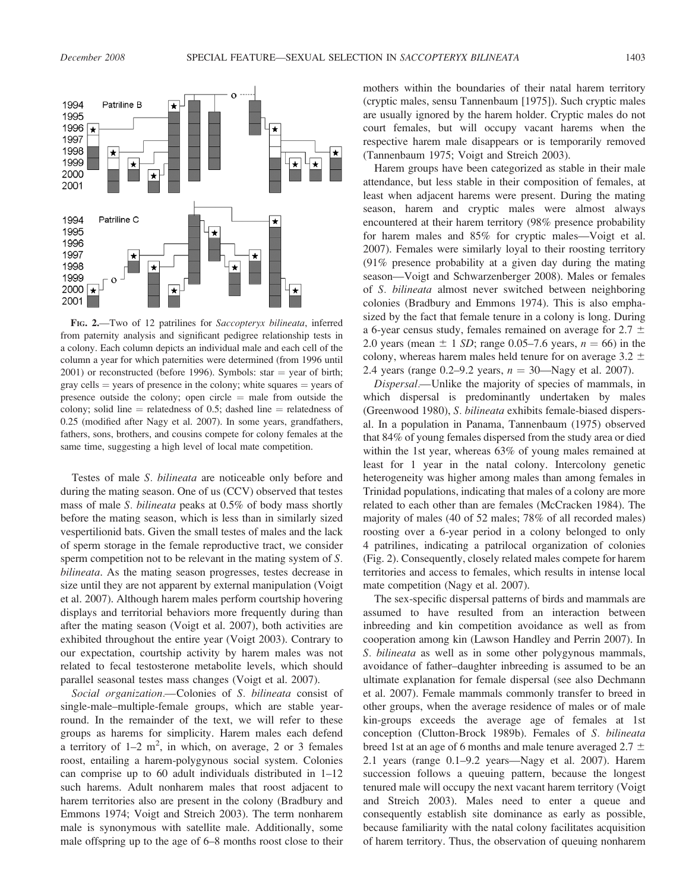

FIG. 2.—Two of 12 patrilines for Saccopteryx bilineata, inferred from paternity analysis and significant pedigree relationship tests in a colony. Each column depicts an individual male and each cell of the column a year for which paternities were determined (from 1996 until  $2001$ ) or reconstructed (before 1996). Symbols: star = year of birth; gray cells  $=$  years of presence in the colony; white squares  $=$  years of presence outside the colony; open circle  $=$  male from outside the colony; solid line = relatedness of 0.5; dashed line = relatedness of 0.25 (modified after Nagy et al. 2007). In some years, grandfathers, fathers, sons, brothers, and cousins compete for colony females at the same time, suggesting a high level of local mate competition.

Testes of male S. bilineata are noticeable only before and during the mating season. One of us (CCV) observed that testes mass of male S. bilineata peaks at 0.5% of body mass shortly before the mating season, which is less than in similarly sized vespertilionid bats. Given the small testes of males and the lack of sperm storage in the female reproductive tract, we consider sperm competition not to be relevant in the mating system of S. bilineata. As the mating season progresses, testes decrease in size until they are not apparent by external manipulation (Voigt et al. 2007). Although harem males perform courtship hovering displays and territorial behaviors more frequently during than after the mating season (Voigt et al. 2007), both activities are exhibited throughout the entire year (Voigt 2003). Contrary to our expectation, courtship activity by harem males was not related to fecal testosterone metabolite levels, which should parallel seasonal testes mass changes (Voigt et al. 2007).

Social organization.—Colonies of S. bilineata consist of single-male–multiple-female groups, which are stable yearround. In the remainder of the text, we will refer to these groups as harems for simplicity. Harem males each defend a territory of  $1-2$  m<sup>2</sup>, in which, on average, 2 or 3 females roost, entailing a harem-polygynous social system. Colonies can comprise up to 60 adult individuals distributed in 1–12 such harems. Adult nonharem males that roost adjacent to harem territories also are present in the colony (Bradbury and Emmons 1974; Voigt and Streich 2003). The term nonharem male is synonymous with satellite male. Additionally, some male offspring up to the age of 6–8 months roost close to their mothers within the boundaries of their natal harem territory (cryptic males, sensu Tannenbaum [1975]). Such cryptic males are usually ignored by the harem holder. Cryptic males do not court females, but will occupy vacant harems when the respective harem male disappears or is temporarily removed (Tannenbaum 1975; Voigt and Streich 2003).

Harem groups have been categorized as stable in their male attendance, but less stable in their composition of females, at least when adjacent harems were present. During the mating season, harem and cryptic males were almost always encountered at their harem territory (98% presence probability for harem males and 85% for cryptic males—Voigt et al. 2007). Females were similarly loyal to their roosting territory (91% presence probability at a given day during the mating season—Voigt and Schwarzenberger 2008). Males or females of S. bilineata almost never switched between neighboring colonies (Bradbury and Emmons 1974). This is also emphasized by the fact that female tenure in a colony is long. During a 6-year census study, females remained on average for  $2.7 \pm 1$ 2.0 years (mean  $\pm$  1 SD; range 0.05–7.6 years,  $n = 66$ ) in the colony, whereas harem males held tenure for on average  $3.2 \pm$ 2.4 years (range 0.2–9.2 years,  $n = 30$ —Nagy et al. 2007).

Dispersal.—Unlike the majority of species of mammals, in which dispersal is predominantly undertaken by males (Greenwood 1980), S. bilineata exhibits female-biased dispersal. In a population in Panama, Tannenbaum (1975) observed that 84% of young females dispersed from the study area or died within the 1st year, whereas 63% of young males remained at least for 1 year in the natal colony. Intercolony genetic heterogeneity was higher among males than among females in Trinidad populations, indicating that males of a colony are more related to each other than are females (McCracken 1984). The majority of males (40 of 52 males; 78% of all recorded males) roosting over a 6-year period in a colony belonged to only 4 patrilines, indicating a patrilocal organization of colonies (Fig. 2). Consequently, closely related males compete for harem territories and access to females, which results in intense local mate competition (Nagy et al. 2007).

The sex-specific dispersal patterns of birds and mammals are assumed to have resulted from an interaction between inbreeding and kin competition avoidance as well as from cooperation among kin (Lawson Handley and Perrin 2007). In S. *bilineata* as well as in some other polygynous mammals, avoidance of father–daughter inbreeding is assumed to be an ultimate explanation for female dispersal (see also Dechmann et al. 2007). Female mammals commonly transfer to breed in other groups, when the average residence of males or of male kin-groups exceeds the average age of females at 1st conception (Clutton-Brock 1989b). Females of S. bilineata breed 1st at an age of 6 months and male tenure averaged  $2.7 \pm$ 2.1 years (range 0.1–9.2 years—Nagy et al. 2007). Harem succession follows a queuing pattern, because the longest tenured male will occupy the next vacant harem territory (Voigt and Streich 2003). Males need to enter a queue and consequently establish site dominance as early as possible, because familiarity with the natal colony facilitates acquisition of harem territory. Thus, the observation of queuing nonharem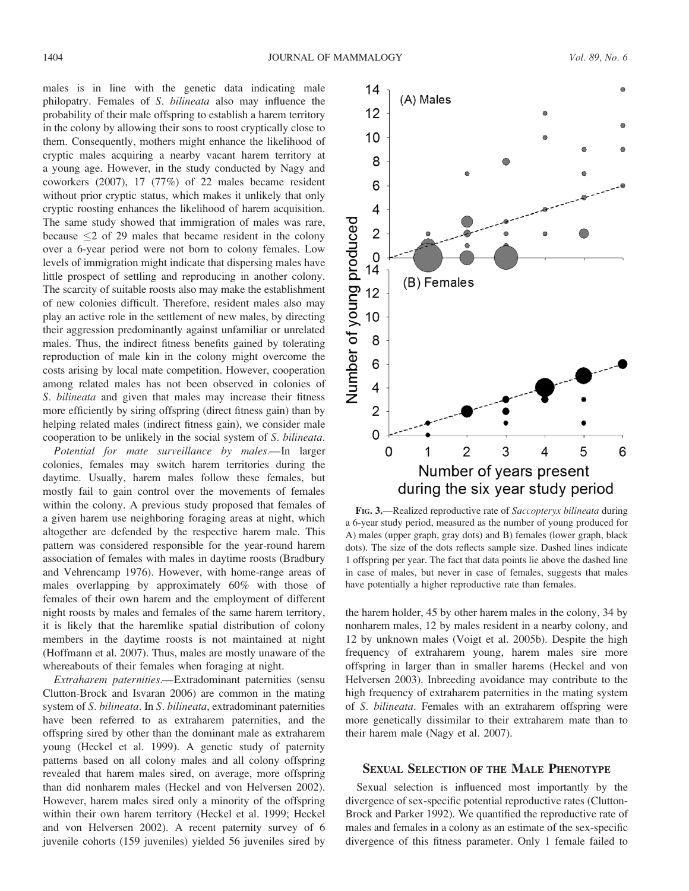males is in line with the genetic data indicating male philopatry. Females of S. bilineata also may influence the probability of their male offspring to establish a harem territory in the colony by allowing their sons to roost cryptically close to them. Consequently, mothers might enhance the likelihood of cryptic males acquiring a nearby vacant harem territory at a young age. However, in the study conducted by Nagy and coworkers (2007), 17 (77%) of 22 males became resident without prior cryptic status, which makes it unlikely that only cryptic roosting enhances the likelihood of harem acquisition. The same study showed that immigration of males was rare, because  $\leq$  2 of 29 males that became resident in the colony over a 6-year period were not born to colony females. Low levels of immigration might indicate that dispersing males have little prospect of settling and reproducing in another colony. The scarcity of suitable roosts also may make the establishment of new colonies difficult. Therefore, resident males also may play an active role in the settlement of new males, by directing their aggression predominantly against unfamiliar or unrelated males. Thus, the indirect fitness benefits gained by tolerating reproduction of male kin in the colony might overcome the costs arising by local mate competition. However, cooperation among related males has not been observed in colonies of S. *bilineata* and given that males may increase their fitness more efficiently by siring offspring (direct fitness gain) than by helping related males (indirect fitness gain), we consider male cooperation to be unlikely in the social system of S. bilineata.

Potential for mate surveillance by males.—In larger colonies, females may switch harem territories during the daytime. Usually, harem males follow these females, but mostly fail to gain control over the movements of females within the colony. A previous study proposed that females of a given harem use neighboring foraging areas at night, which altogether are defended by the respective harem male. This pattern was considered responsible for the year-round harem association of females with males in daytime roosts (Bradbury and Vehrencamp 1976). However, with home-range areas of males overlapping by approximately 60% with those of females of their own harem and the employment of different night roosts by males and females of the same harem territory, it is likely that the haremlike spatial distribution of colony members in the daytime roosts is not maintained at night (Hoffmann et al. 2007). Thus, males are mostly unaware of the whereabouts of their females when foraging at night.

Extraharem paternities.—Extradominant paternities (sensu Clutton-Brock and Isvaran 2006) are common in the mating system of S. bilineata. In S. bilineata, extradominant paternities have been referred to as extraharem paternities, and the offspring sired by other than the dominant male as extraharem young (Heckel et al. 1999). A genetic study of paternity patterns based on all colony males and all colony offspring revealed that harem males sired, on average, more offspring than did nonharem males (Heckel and von Helversen 2002). However, harem males sired only a minority of the offspring within their own harem territory (Heckel et al. 1999; Heckel and von Helversen 2002). A recent paternity survey of 6 juvenile cohorts (159 juveniles) yielded 56 juveniles sired by

FIG. 3.—Realized reproductive rate of Saccopteryx bilineata during a 6-year study period, measured as the number of young produced for A) males (upper graph, gray dots) and B) females (lower graph, black dots). The size of the dots reflects sample size. Dashed lines indicate 1 offspring per year. The fact that data points lie above the dashed line in case of males, but never in case of females, suggests that males have potentially a higher reproductive rate than females.

the harem holder, 45 by other harem males in the colony, 34 by nonharem males, 12 by males resident in a nearby colony, and 12 by unknown males (Voigt et al. 2005b). Despite the high frequency of extraharem young, harem males sire more offspring in larger than in smaller harems (Heckel and von Helversen 2003). Inbreeding avoidance may contribute to the high frequency of extraharem paternities in the mating system of S. bilineata. Females with an extraharem offspring were more genetically dissimilar to their extraharem mate than to their harem male (Nagy et al. 2007).

### SEXUAL SELECTION OF THE MALE PHENOTYPE

Sexual selection is influenced most importantly by the divergence of sex-specific potential reproductive rates (Clutton-Brock and Parker 1992). We quantified the reproductive rate of males and females in a colony as an estimate of the sex-specific divergence of this fitness parameter. Only 1 female failed to



 $14$ 

 $12$ 

10

(A) Males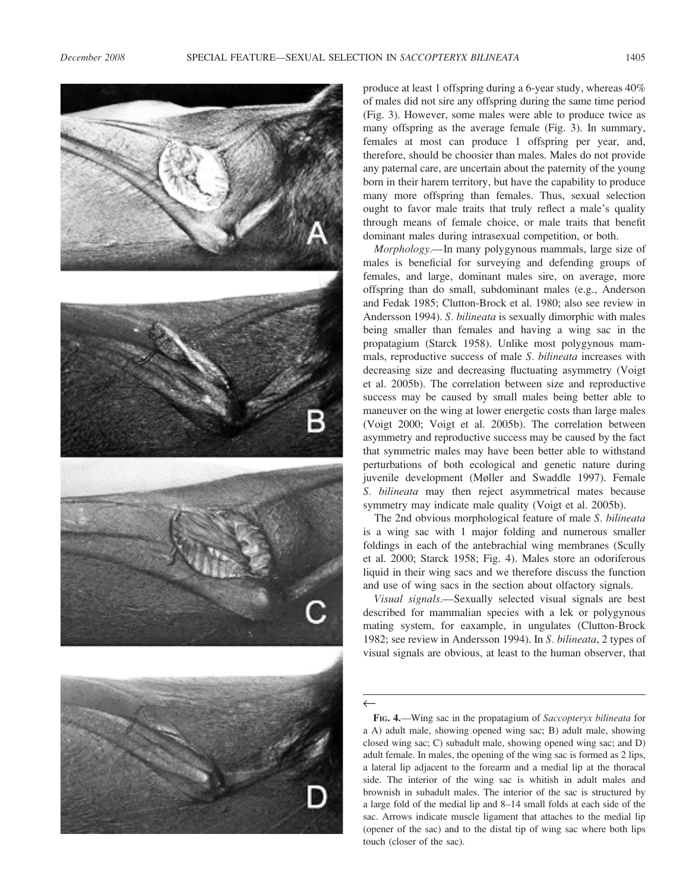

produce at least 1 offspring during a 6-year study, whereas 40% of males did not sire any offspring during the same time period (Fig. 3). However, some males were able to produce twice as many offspring as the average female (Fig. 3). In summary, females at most can produce 1 offspring per year, and, therefore, should be choosier than males. Males do not provide any paternal care, are uncertain about the paternity of the young born in their harem territory, but have the capability to produce many more offspring than females. Thus, sexual selection ought to favor male traits that truly reflect a male's quality through means of female choice, or male traits that benefit dominant males during intrasexual competition, or both.

Morphology.—In many polygynous mammals, large size of males is beneficial for surveying and defending groups of females, and large, dominant males sire, on average, more offspring than do small, subdominant males (e.g., Anderson and Fedak 1985; Clutton-Brock et al. 1980; also see review in Andersson 1994). S. bilineata is sexually dimorphic with males being smaller than females and having a wing sac in the propatagium (Starck 1958). Unlike most polygynous mammals, reproductive success of male S. bilineata increases with decreasing size and decreasing fluctuating asymmetry (Voigt et al. 2005b). The correlation between size and reproductive success may be caused by small males being better able to maneuver on the wing at lower energetic costs than large males (Voigt 2000; Voigt et al. 2005b). The correlation between asymmetry and reproductive success may be caused by the fact that symmetric males may have been better able to withstand perturbations of both ecological and genetic nature during juvenile development (Møller and Swaddle 1997). Female S. bilineata may then reject asymmetrical mates because symmetry may indicate male quality (Voigt et al. 2005b).

The 2nd obvious morphological feature of male S. bilineata is a wing sac with 1 major folding and numerous smaller foldings in each of the antebrachial wing membranes (Scully et al. 2000; Starck 1958; Fig. 4). Males store an odoriferous liquid in their wing sacs and we therefore discuss the function and use of wing sacs in the section about olfactory signals.

Visual signals.—Sexually selected visual signals are best described for mammalian species with a lek or polygynous mating system, for eaxample, in ungulates (Clutton-Brock 1982; see review in Andersson 1994). In S. bilineata, 2 types of visual signals are obvious, at least to the human observer, that

 $\leftarrow$ 

FIG. 4.—Wing sac in the propatagium of Saccopteryx bilineata for a A) adult male, showing opened wing sac; B) adult male, showing closed wing sac; C) subadult male, showing opened wing sac; and D) adult female. In males, the opening of the wing sac is formed as 2 lips, a lateral lip adjacent to the forearm and a medial lip at the thoracal side. The interior of the wing sac is whitish in adult males and brownish in subadult males. The interior of the sac is structured by a large fold of the medial lip and 8–14 small folds at each side of the sac. Arrows indicate muscle ligament that attaches to the medial lip (opener of the sac) and to the distal tip of wing sac where both lips touch (closer of the sac).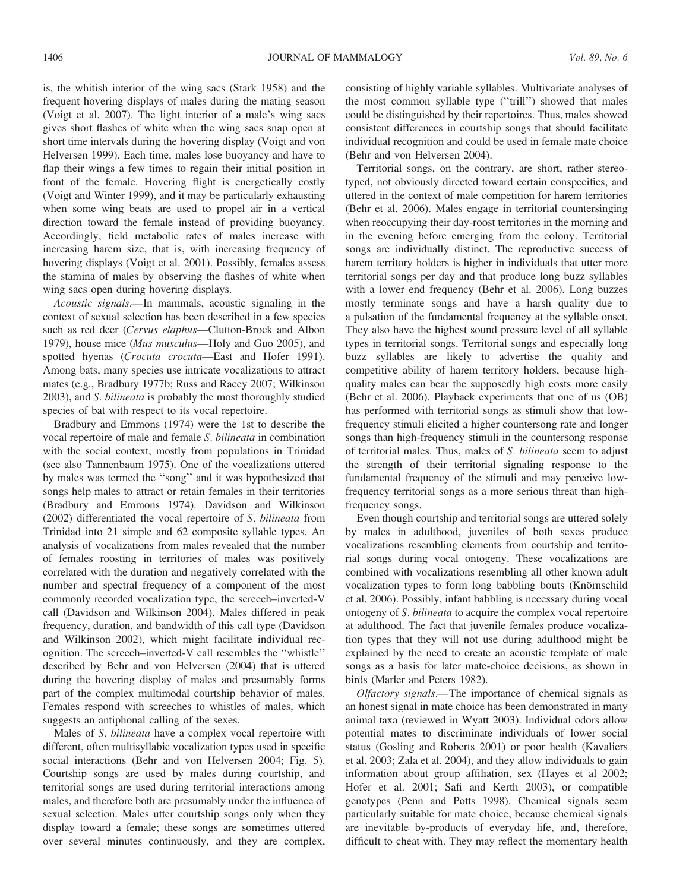is, the whitish interior of the wing sacs (Stark 1958) and the frequent hovering displays of males during the mating season (Voigt et al. 2007). The light interior of a male's wing sacs gives short flashes of white when the wing sacs snap open at short time intervals during the hovering display (Voigt and von Helversen 1999). Each time, males lose buoyancy and have to flap their wings a few times to regain their initial position in front of the female. Hovering flight is energetically costly (Voigt and Winter 1999), and it may be particularly exhausting when some wing beats are used to propel air in a vertical direction toward the female instead of providing buoyancy. Accordingly, field metabolic rates of males increase with increasing harem size, that is, with increasing frequency of hovering displays (Voigt et al. 2001). Possibly, females assess the stamina of males by observing the flashes of white when wing sacs open during hovering displays.

Acoustic signals.—In mammals, acoustic signaling in the context of sexual selection has been described in a few species such as red deer (Cervus elaphus—Clutton-Brock and Albon 1979), house mice (Mus musculus—Holy and Guo 2005), and spotted hyenas (Crocuta crocuta—East and Hofer 1991). Among bats, many species use intricate vocalizations to attract mates (e.g., Bradbury 1977b; Russ and Racey 2007; Wilkinson 2003), and S. bilineata is probably the most thoroughly studied species of bat with respect to its vocal repertoire.

Bradbury and Emmons (1974) were the 1st to describe the vocal repertoire of male and female S. bilineata in combination with the social context, mostly from populations in Trinidad (see also Tannenbaum 1975). One of the vocalizations uttered by males was termed the ''song'' and it was hypothesized that songs help males to attract or retain females in their territories (Bradbury and Emmons 1974). Davidson and Wilkinson (2002) differentiated the vocal repertoire of S. bilineata from Trinidad into 21 simple and 62 composite syllable types. An analysis of vocalizations from males revealed that the number of females roosting in territories of males was positively correlated with the duration and negatively correlated with the number and spectral frequency of a component of the most commonly recorded vocalization type, the screech–inverted-V call (Davidson and Wilkinson 2004). Males differed in peak frequency, duration, and bandwidth of this call type (Davidson and Wilkinson 2002), which might facilitate individual recognition. The screech–inverted-V call resembles the ''whistle'' described by Behr and von Helversen (2004) that is uttered during the hovering display of males and presumably forms part of the complex multimodal courtship behavior of males. Females respond with screeches to whistles of males, which suggests an antiphonal calling of the sexes.

Males of S. bilineata have a complex vocal repertoire with different, often multisyllabic vocalization types used in specific social interactions (Behr and von Helversen 2004; Fig. 5). Courtship songs are used by males during courtship, and territorial songs are used during territorial interactions among males, and therefore both are presumably under the influence of sexual selection. Males utter courtship songs only when they display toward a female; these songs are sometimes uttered over several minutes continuously, and they are complex, consisting of highly variable syllables. Multivariate analyses of the most common syllable type (''trill'') showed that males could be distinguished by their repertoires. Thus, males showed consistent differences in courtship songs that should facilitate individual recognition and could be used in female mate choice (Behr and von Helversen 2004).

Territorial songs, on the contrary, are short, rather stereotyped, not obviously directed toward certain conspecifics, and uttered in the context of male competition for harem territories (Behr et al. 2006). Males engage in territorial countersinging when reoccupying their day-roost territories in the morning and in the evening before emerging from the colony. Territorial songs are individually distinct. The reproductive success of harem territory holders is higher in individuals that utter more territorial songs per day and that produce long buzz syllables with a lower end frequency (Behr et al. 2006). Long buzzes mostly terminate songs and have a harsh quality due to a pulsation of the fundamental frequency at the syllable onset. They also have the highest sound pressure level of all syllable types in territorial songs. Territorial songs and especially long buzz syllables are likely to advertise the quality and competitive ability of harem territory holders, because highquality males can bear the supposedly high costs more easily (Behr et al. 2006). Playback experiments that one of us (OB) has performed with territorial songs as stimuli show that lowfrequency stimuli elicited a higher countersong rate and longer songs than high-frequency stimuli in the countersong response of territorial males. Thus, males of S. bilineata seem to adjust the strength of their territorial signaling response to the fundamental frequency of the stimuli and may perceive lowfrequency territorial songs as a more serious threat than highfrequency songs.

Even though courtship and territorial songs are uttered solely by males in adulthood, juveniles of both sexes produce vocalizations resembling elements from courtship and territorial songs during vocal ontogeny. These vocalizations are combined with vocalizations resembling all other known adult vocalization types to form long babbling bouts (Knörnschild et al. 2006). Possibly, infant babbling is necessary during vocal ontogeny of S. bilineata to acquire the complex vocal repertoire at adulthood. The fact that juvenile females produce vocalization types that they will not use during adulthood might be explained by the need to create an acoustic template of male songs as a basis for later mate-choice decisions, as shown in birds (Marler and Peters 1982).

Olfactory signals.—The importance of chemical signals as an honest signal in mate choice has been demonstrated in many animal taxa (reviewed in Wyatt 2003). Individual odors allow potential mates to discriminate individuals of lower social status (Gosling and Roberts 2001) or poor health (Kavaliers et al. 2003; Zala et al. 2004), and they allow individuals to gain information about group affiliation, sex (Hayes et al 2002; Hofer et al. 2001; Safi and Kerth 2003), or compatible genotypes (Penn and Potts 1998). Chemical signals seem particularly suitable for mate choice, because chemical signals are inevitable by-products of everyday life, and, therefore, difficult to cheat with. They may reflect the momentary health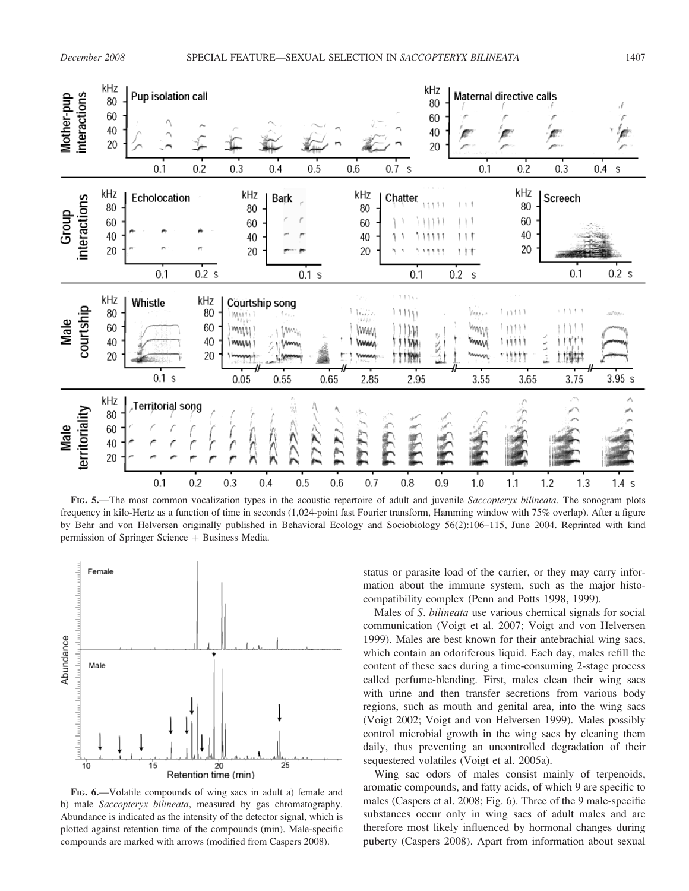

FIG. 5.—The most common vocalization types in the acoustic repertoire of adult and juvenile Saccopteryx bilineata. The sonogram plots frequency in kilo-Hertz as a function of time in seconds (1,024-point fast Fourier transform, Hamming window with 75% overlap). After a figure by Behr and von Helversen originally published in Behavioral Ecology and Sociobiology 56(2):106–115, June 2004. Reprinted with kind permission of Springer Science  $+$  Business Media.



FIG. 6.—Volatile compounds of wing sacs in adult a) female and b) male Saccopteryx bilineata, measured by gas chromatography. Abundance is indicated as the intensity of the detector signal, which is plotted against retention time of the compounds (min). Male-specific compounds are marked with arrows (modified from Caspers 2008).

status or parasite load of the carrier, or they may carry information about the immune system, such as the major histocompatibility complex (Penn and Potts 1998, 1999).

Males of S. bilineata use various chemical signals for social communication (Voigt et al. 2007; Voigt and von Helversen 1999). Males are best known for their antebrachial wing sacs, which contain an odoriferous liquid. Each day, males refill the content of these sacs during a time-consuming 2-stage process called perfume-blending. First, males clean their wing sacs with urine and then transfer secretions from various body regions, such as mouth and genital area, into the wing sacs (Voigt 2002; Voigt and von Helversen 1999). Males possibly control microbial growth in the wing sacs by cleaning them daily, thus preventing an uncontrolled degradation of their sequestered volatiles (Voigt et al. 2005a).

Wing sac odors of males consist mainly of terpenoids, aromatic compounds, and fatty acids, of which 9 are specific to males (Caspers et al. 2008; Fig. 6). Three of the 9 male-specific substances occur only in wing sacs of adult males and are therefore most likely influenced by hormonal changes during puberty (Caspers 2008). Apart from information about sexual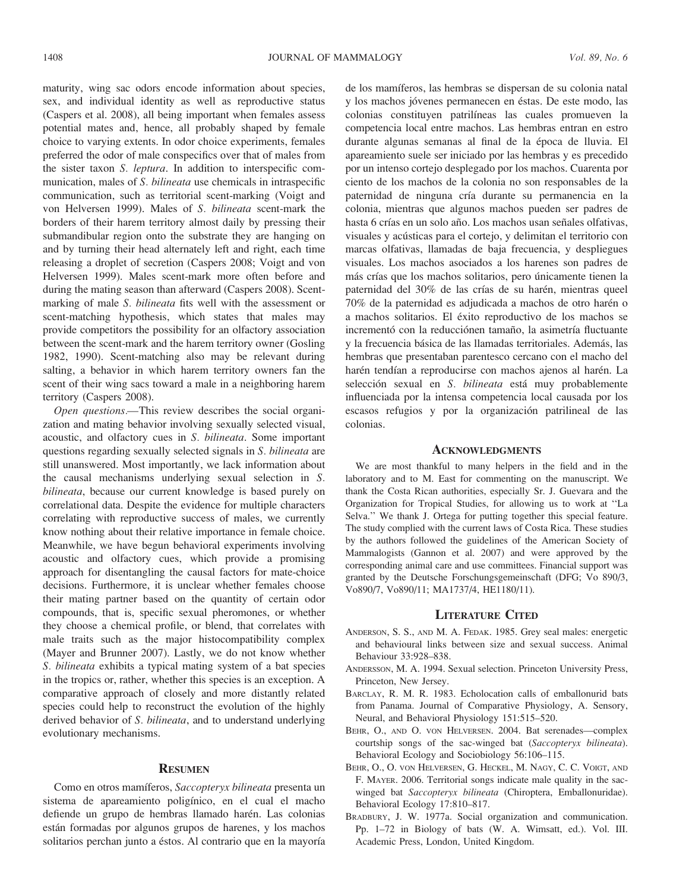maturity, wing sac odors encode information about species, sex, and individual identity as well as reproductive status (Caspers et al. 2008), all being important when females assess potential mates and, hence, all probably shaped by female choice to varying extents. In odor choice experiments, females preferred the odor of male conspecifics over that of males from the sister taxon S. leptura. In addition to interspecific communication, males of S. bilineata use chemicals in intraspecific communication, such as territorial scent-marking (Voigt and von Helversen 1999). Males of S. bilineata scent-mark the borders of their harem territory almost daily by pressing their submandibular region onto the substrate they are hanging on and by turning their head alternately left and right, each time releasing a droplet of secretion (Caspers 2008; Voigt and von Helversen 1999). Males scent-mark more often before and during the mating season than afterward (Caspers 2008). Scentmarking of male S. bilineata fits well with the assessment or scent-matching hypothesis, which states that males may provide competitors the possibility for an olfactory association between the scent-mark and the harem territory owner (Gosling 1982, 1990). Scent-matching also may be relevant during salting, a behavior in which harem territory owners fan the scent of their wing sacs toward a male in a neighboring harem territory (Caspers 2008).

Open questions.—This review describes the social organization and mating behavior involving sexually selected visual, acoustic, and olfactory cues in S. bilineata. Some important questions regarding sexually selected signals in S. bilineata are still unanswered. Most importantly, we lack information about the causal mechanisms underlying sexual selection in S. bilineata, because our current knowledge is based purely on correlational data. Despite the evidence for multiple characters correlating with reproductive success of males, we currently know nothing about their relative importance in female choice. Meanwhile, we have begun behavioral experiments involving acoustic and olfactory cues, which provide a promising approach for disentangling the causal factors for mate-choice decisions. Furthermore, it is unclear whether females choose their mating partner based on the quantity of certain odor compounds, that is, specific sexual pheromones, or whether they choose a chemical profile, or blend, that correlates with male traits such as the major histocompatibility complex (Mayer and Brunner 2007). Lastly, we do not know whether S. bilineata exhibits a typical mating system of a bat species in the tropics or, rather, whether this species is an exception. A comparative approach of closely and more distantly related species could help to reconstruct the evolution of the highly derived behavior of S. bilineata, and to understand underlying evolutionary mechanisms.

### **RESUMEN**

Como en otros mamíferos, Saccopteryx bilineata presenta un sistema de apareamiento poligínico, en el cual el macho defiende un grupo de hembras llamado harén. Las colonias están formadas por algunos grupos de harenes, y los machos solitarios perchan junto a éstos. Al contrario que en la mayoría de los mamı´feros, las hembras se dispersan de su colonia natal y los machos jóvenes permanecen en éstas. De este modo, las colonias constituyen patrilíneas las cuales promueven la competencia local entre machos. Las hembras entran en estro durante algunas semanas al final de la época de lluvia. El apareamiento suele ser iniciado por las hembras y es precedido por un intenso cortejo desplegado por los machos. Cuarenta por ciento de los machos de la colonia no son responsables de la paternidad de ninguna cría durante su permanencia en la colonia, mientras que algunos machos pueden ser padres de hasta 6 crías en un solo año. Los machos usan señales olfativas, visuales y acústicas para el cortejo, y delimitan el territorio con marcas olfativas, llamadas de baja frecuencia, y despliegues visuales. Los machos asociados a los harenes son padres de más crías que los machos solitarios, pero únicamente tienen la paternidad del 30% de las crías de su harén, mientras queel 70% de la paternidad es adjudicada a machos de otro harén o a machos solitarios. El éxito reproductivo de los machos se incrementó con la reducciónen tamaño, la asimetría fluctuante y la frecuencia básica de las llamadas territoriales. Además, las hembras que presentaban parentesco cercano con el macho del harén tendían a reproducirse con machos ajenos al harén. La selección sexual en S. bilineata está muy probablemente influenciada por la intensa competencia local causada por los escasos refugios y por la organización patrilineal de las colonias.

#### **ACKNOWLEDGMENTS**

We are most thankful to many helpers in the field and in the laboratory and to M. East for commenting on the manuscript. We thank the Costa Rican authorities, especially Sr. J. Guevara and the Organization for Tropical Studies, for allowing us to work at ''La Selva.'' We thank J. Ortega for putting together this special feature. The study complied with the current laws of Costa Rica. These studies by the authors followed the guidelines of the American Society of Mammalogists (Gannon et al. 2007) and were approved by the corresponding animal care and use committees. Financial support was granted by the Deutsche Forschungsgemeinschaft (DFG; Vo 890/3, Vo890/7, Vo890/11; MA1737/4, HE1180/11).

# LITERATURE CITED

- ANDERSON, S. S., AND M. A. FEDAK. 1985. Grey seal males: energetic and behavioural links between size and sexual success. Animal Behaviour 33:928–838.
- ANDERSSON, M. A. 1994. Sexual selection. Princeton University Press, Princeton, New Jersey.
- BARCLAY, R. M. R. 1983. Echolocation calls of emballonurid bats from Panama. Journal of Comparative Physiology, A. Sensory, Neural, and Behavioral Physiology 151:515–520.
- BEHR, O., AND O. VON HELVERSEN. 2004. Bat serenades—complex courtship songs of the sac-winged bat (Saccopteryx bilineata). Behavioral Ecology and Sociobiology 56:106–115.
- BEHR, O., O. VON HELVERSEN, G. HECKEL, M. NAGY, C. C. VOIGT, AND F. MAYER. 2006. Territorial songs indicate male quality in the sacwinged bat Saccopteryx bilineata (Chiroptera, Emballonuridae). Behavioral Ecology 17:810–817.
- BRADBURY, J. W. 1977a. Social organization and communication. Pp. 1–72 in Biology of bats (W. A. Wimsatt, ed.). Vol. III. Academic Press, London, United Kingdom.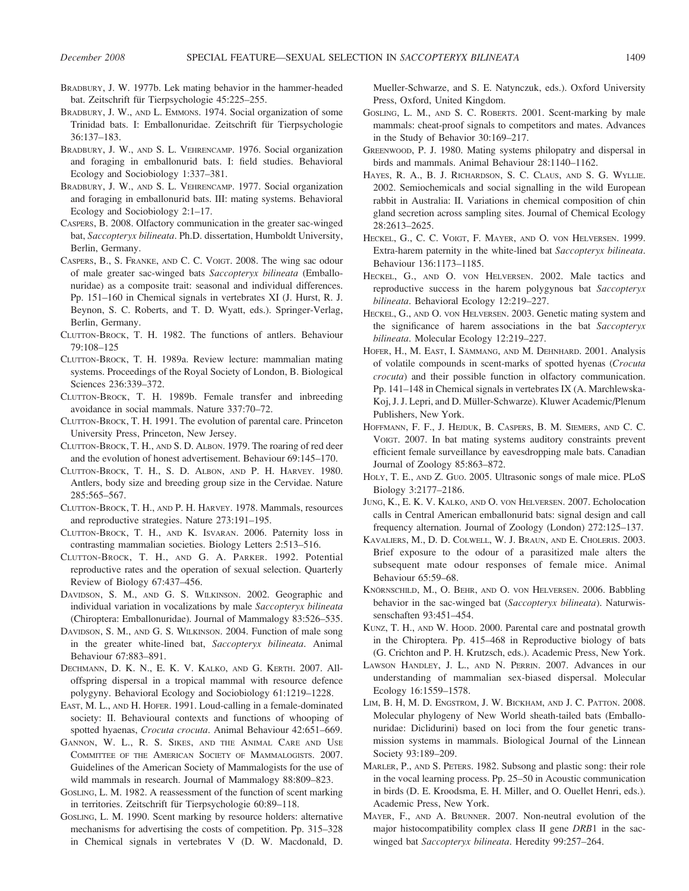- BRADBURY, J. W. 1977b. Lek mating behavior in the hammer-headed bat. Zeitschrift für Tierpsychologie 45:225–255.
- BRADBURY, J. W., AND L. EMMONS. 1974. Social organization of some Trinidad bats. I: Emballonuridae. Zeitschrift für Tierpsychologie 36:137–183.
- BRADBURY, J. W., AND S. L. VEHRENCAMP. 1976. Social organization and foraging in emballonurid bats. I: field studies. Behavioral Ecology and Sociobiology 1:337–381.
- BRADBURY, J. W., AND S. L. VEHRENCAMP. 1977. Social organization and foraging in emballonurid bats. III: mating systems. Behavioral Ecology and Sociobiology 2:1–17.
- CASPERS, B. 2008. Olfactory communication in the greater sac-winged bat, Saccopteryx bilineata. Ph.D. dissertation, Humboldt University, Berlin, Germany.
- CASPERS, B., S. FRANKE, AND C. C. VOIGT. 2008. The wing sac odour of male greater sac-winged bats Saccopteryx bilineata (Emballonuridae) as a composite trait: seasonal and individual differences. Pp. 151–160 in Chemical signals in vertebrates XI (J. Hurst, R. J. Beynon, S. C. Roberts, and T. D. Wyatt, eds.). Springer-Verlag, Berlin, Germany.
- CLUTTON-BROCK, T. H. 1982. The functions of antlers. Behaviour 79:108–125
- CLUTTON-BROCK, T. H. 1989a. Review lecture: mammalian mating systems. Proceedings of the Royal Society of London, B. Biological Sciences 236:339–372.
- CLUTTON-BROCK, T. H. 1989b. Female transfer and inbreeding avoidance in social mammals. Nature 337:70–72.
- CLUTTON-BROCK, T. H. 1991. The evolution of parental care. Princeton University Press, Princeton, New Jersey.
- CLUTTON-BROCK, T. H., AND S. D. ALBON. 1979. The roaring of red deer and the evolution of honest advertisement. Behaviour 69:145–170.
- CLUTTON-BROCK, T. H., S. D. ALBON, AND P. H. HARVEY. 1980. Antlers, body size and breeding group size in the Cervidae. Nature 285:565–567.
- CLUTTON-BROCK, T. H., AND P. H. HARVEY. 1978. Mammals, resources and reproductive strategies. Nature 273:191–195.
- CLUTTON-BROCK, T. H., AND K. ISVARAN. 2006. Paternity loss in contrasting mammalian societies. Biology Letters 2:513–516.
- CLUTTON-BROCK, T. H., AND G. A. PARKER. 1992. Potential reproductive rates and the operation of sexual selection. Quarterly Review of Biology 67:437–456.
- DAVIDSON, S. M., AND G. S. WILKINSON. 2002. Geographic and individual variation in vocalizations by male Saccopteryx bilineata (Chiroptera: Emballonuridae). Journal of Mammalogy 83:526–535.
- DAVIDSON, S. M., AND G. S. WILKINSON. 2004. Function of male song in the greater white-lined bat, Saccopteryx bilineata. Animal Behaviour 67:883–891.
- DECHMANN, D. K. N., E. K. V. KALKO, AND G. KERTH. 2007. Alloffspring dispersal in a tropical mammal with resource defence polygyny. Behavioral Ecology and Sociobiology 61:1219–1228.
- EAST, M. L., AND H. HOFER. 1991. Loud-calling in a female-dominated society: II. Behavioural contexts and functions of whooping of spotted hyaenas, Crocuta crocuta. Animal Behaviour 42:651-669.
- GANNON, W. L., R. S. SIKES, AND THE ANIMAL CARE AND USE COMMITTEE OF THE AMERICAN SOCIETY OF MAMMALOGISTS. 2007. Guidelines of the American Society of Mammalogists for the use of wild mammals in research. Journal of Mammalogy 88:809–823.
- GOSLING, L. M. 1982. A reassessment of the function of scent marking in territories. Zeitschrift für Tierpsychologie 60:89-118.
- GOSLING, L. M. 1990. Scent marking by resource holders: alternative mechanisms for advertising the costs of competition. Pp. 315–328 in Chemical signals in vertebrates V (D. W. Macdonald, D.

Mueller-Schwarze, and S. E. Natynczuk, eds.). Oxford University Press, Oxford, United Kingdom.

- GOSLING, L. M., AND S. C. ROBERTS. 2001. Scent-marking by male mammals: cheat-proof signals to competitors and mates. Advances in the Study of Behavior 30:169–217.
- GREENWOOD, P. J. 1980. Mating systems philopatry and dispersal in birds and mammals. Animal Behaviour 28:1140–1162.
- HAYES, R. A., B. J. RICHARDSON, S. C. CLAUS, AND S. G. WYLLIE. 2002. Semiochemicals and social signalling in the wild European rabbit in Australia: II. Variations in chemical composition of chin gland secretion across sampling sites. Journal of Chemical Ecology 28:2613–2625.
- HECKEL, G., C. C. VOIGT, F. MAYER, AND O. VON HELVERSEN. 1999. Extra-harem paternity in the white-lined bat Saccopteryx bilineata. Behaviour 136:1173–1185.
- HECKEL, G., AND O. VON HELVERSEN. 2002. Male tactics and reproductive success in the harem polygynous bat Saccopteryx bilineata. Behavioral Ecology 12:219–227.
- HECKEL, G., AND O. VON HELVERSEN. 2003. Genetic mating system and the significance of harem associations in the bat Saccopteryx bilineata. Molecular Ecology 12:219-227.
- HOFER, H., M. EAST, I. SÄMMANG, AND M. DEHNHARD. 2001. Analysis of volatile compounds in scent-marks of spotted hyenas (Crocuta crocuta) and their possible function in olfactory communication. Pp. 141–148 in Chemical signals in vertebrates IX (A. Marchlewska-Koj, J. J. Lepri, and D. Müller-Schwarze). Kluwer Academic/Plenum Publishers, New York.
- HOFFMANN, F. F., J. HEJDUK, B. CASPERS, B. M. SIEMERS, AND C. C. VOIGT. 2007. In bat mating systems auditory constraints prevent efficient female surveillance by eavesdropping male bats. Canadian Journal of Zoology 85:863–872.
- HOLY, T. E., AND Z. GUO. 2005. Ultrasonic songs of male mice. PLoS Biology 3:2177–2186.
- JUNG, K., E. K. V. KALKO, AND O. VON HELVERSEN. 2007. Echolocation calls in Central American emballonurid bats: signal design and call frequency alternation. Journal of Zoology (London) 272:125–137.
- KAVALIERS, M., D. D. COLWELL, W. J. BRAUN, AND E. CHOLERIS. 2003. Brief exposure to the odour of a parasitized male alters the subsequent mate odour responses of female mice. Animal Behaviour 65:59–68.
- KNÖRNSCHILD, M., O. BEHR, AND O. VON HELVERSEN. 2006. Babbling behavior in the sac-winged bat (Saccopteryx bilineata). Naturwissenschaften 93:451–454.
- KUNZ, T. H., AND W. HOOD. 2000. Parental care and postnatal growth in the Chiroptera. Pp. 415–468 in Reproductive biology of bats (G. Crichton and P. H. Krutzsch, eds.). Academic Press, New York.
- LAWSON HANDLEY, J. L., AND N. PERRIN. 2007. Advances in our understanding of mammalian sex-biased dispersal. Molecular Ecology 16:1559–1578.
- LIM, B. H, M. D. ENGSTROM, J. W. BICKHAM, AND J. C. PATTON. 2008. Molecular phylogeny of New World sheath-tailed bats (Emballonuridae: Diclidurini) based on loci from the four genetic transmission systems in mammals. Biological Journal of the Linnean Society 93:189–209.
- MARLER, P., AND S. PETERS. 1982. Subsong and plastic song: their role in the vocal learning process. Pp. 25–50 in Acoustic communication in birds (D. E. Kroodsma, E. H. Miller, and O. Ouellet Henri, eds.). Academic Press, New York.
- MAYER, F., AND A. BRUNNER. 2007. Non-neutral evolution of the major histocompatibility complex class II gene DRB1 in the sacwinged bat Saccopteryx bilineata. Heredity 99:257–264.